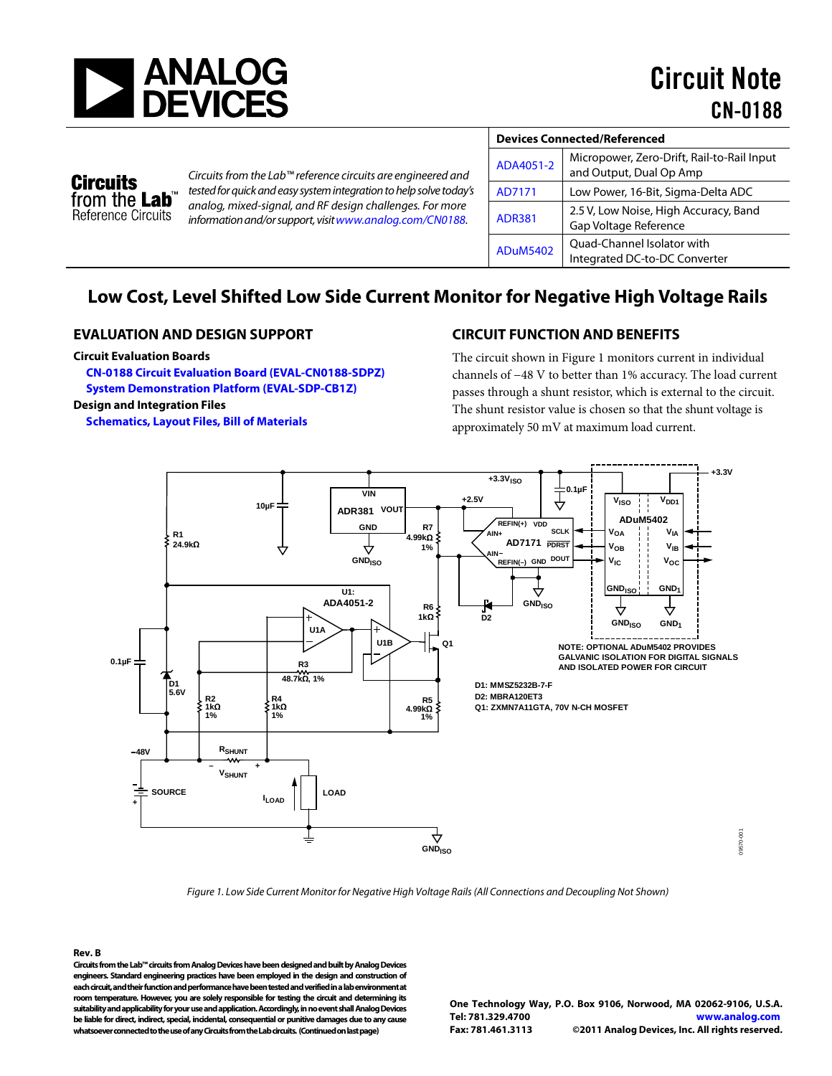



*Circuits from the Lab™ reference circuits are engineered and tested for quick and easy system integration to help solve today's analog, mixed-signal, and RF design challenges. For more information and/or support, visitwww.analog.com/CN0188.*

| <b>Devices Connected/Referenced</b> |                                                                       |  |
|-------------------------------------|-----------------------------------------------------------------------|--|
| ADA4051-2                           | Micropower, Zero-Drift, Rail-to-Rail Input<br>and Output, Dual Op Amp |  |
| AD7171                              | Low Power, 16-Bit, Sigma-Delta ADC                                    |  |
| <b>ADR381</b>                       | 2.5 V, Low Noise, High Accuracy, Band<br>Gap Voltage Reference        |  |
| <b>ADuM5402</b>                     | Quad-Channel Isolator with<br>Integrated DC-to-DC Converter           |  |

# **Low Cost, Level Shifted Low Side Current Monitor for Negative High Voltage Rails**

### **EVALUATION AND DESIGN SUPPORT**

#### **Circuit Evaluation Boards**

**[CN-0188 Circuit Evaluation Board \(EVAL-CN0188-SDPZ\)](http://www.analog.com/EVAL-CN0188-SDPZ)  System Demonstration [Platform \(EVAL-SDP-CB1Z\)](http://www.analog.com/EVAL-SDP-CB1Z) Design and Integration Files** 

**[Schematics, Layout Files, Bill of Materials](http://www.analog.com/CN0188-DesignSupport)**

# **CIRCUIT FUNCTION AND BENEFITS**

The circuit shown in Figure 1 monitors current in individual channels of −48 V to better than 1% accuracy. The load current passes through a shunt resistor, which is external to the circuit. The shunt resistor value is chosen so that the shunt voltage is approximately 50 mV at maximum load current.



*Figure 1. Low Side Current Monitor for Negative High Voltage Rails (All Connections and Decoupling Not Shown)*

**Rev. B Circuits from the Lab™ circuits from Analog Devices have been designed and built by Analog Devices engineers. Standard engineering practices have been employed in the design and construction of each circuit, and their function and performance have been tested and verified in a lab environment at room temperature. However, you are solely responsible for testing the circuit and determining its suitability and applicability for your use and application. Accordingly, in no event shall Analog Devices be liable for direct, indirect, special, incidental, consequential or punitive damages due to any cause whatsoever connected to the use of any Circuits from the Lab circuits. (Continued on last page)**

**One Technology Way, P.O. Box 9106, Norwood, MA 02062-9106, U.S.A. Tel: 781.329.4700 [www.analog.com](http://www.analog.com/) Fax: 781.461.3113 ©2011 Analog Devices, Inc. All rights reserved.**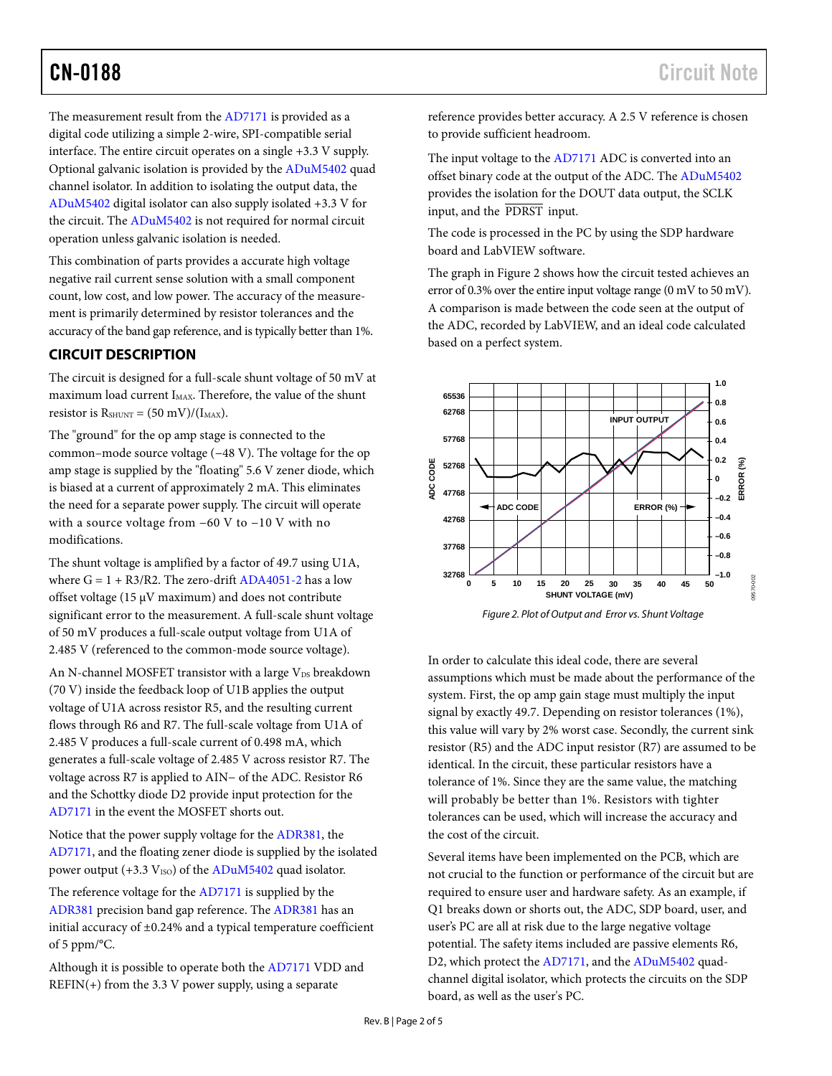The measurement result from th[e AD7171](http://www.analog.com/AD7171) is provided as a digital code utilizing a simple 2-wire, SPI-compatible serial interface. The entire circuit operates on a single +3.3 V supply. Optional galvanic isolation is provided by the [ADuM5402](http://www.analog.com/ADUM5402) quad channel isolator. In addition to isolating the output data, the [ADuM5402](http://www.analog.com/ADuM5402) digital isolator can also supply isolated +3.3 V for the circuit. The [ADuM5402](http://www.analog.com/ADuM5402) is not required for normal circuit operation unless galvanic isolation is needed.

This combination of parts provides a accurate high voltage negative rail current sense solution with a small component count, low cost, and low power. The accuracy of the measurement is primarily determined by resistor tolerances and the accuracy of the band gap reference, and is typically better than 1%.

# **CIRCUIT DESCRIPTION**

The circuit is designed for a full-scale shunt voltage of 50 mV at maximum load current I<sub>MAX</sub>. Therefore, the value of the shunt resistor is  $R_{\text{SHUNT}} = (50 \text{ mV})/(I_{\text{MAX}})$ .

The "ground" for the op amp stage is connected to the common–mode source voltage (−48 V). The voltage for the op amp stage is supplied by the "floating" 5.6 V zener diode, which is biased at a current of approximately 2 mA. This eliminates the need for a separate power supply. The circuit will operate with a source voltage from −60 V to −10 V with no modifications.

The shunt voltage is amplified by a factor of 49.7 using U1A, where  $G = 1 + R3/R2$ . The zero-drif[t ADA4051-2 h](http://www.analog.com/ADA4051-2)as a low offset voltage (15  $\mu$ V maximum) and does not contribute significant error to the measurement. A full-scale shunt voltage of 50 mV produces a full-scale output voltage from U1A of 2.485 V (referenced to the common-mode source voltage).

An N-channel MOSFET transistor with a large  $V_{DS}$  breakdown (70 V) inside the feedback loop of U1B applies the output voltage of U1A across resistor R5, and the resulting current flows through R6 and R7. The full-scale voltage from U1A of 2.485 V produces a full-scale current of 0.498 mA, which generates a full-scale voltage of 2.485 V across resistor R7. The voltage across R7 is applied to AIN− of the ADC. Resistor R6 and the Schottky diode D2 provide input protection for the [AD7171](http://www.analog.com/AD7171) in the event the MOSFET shorts out.

Notice that the power supply voltage for the [ADR381,](http://www.analog.com/ADR381) the [AD7171,](http://www.analog.com/AD7171) and the floating zener diode is supplied by the isolated power output  $(+3.3 V_{ISO})$  of the [ADuM5402](http://www.analog.com/ADuM5402) quad isolator.

The reference voltage for th[e AD7171](http://www.analog.com/AD7171) is supplied by the [ADR381](http://www.analog.com/ADR381) precision band gap reference. Th[e ADR381](http://www.analog.com/ADR381) has an initial accuracy of ±0.24% and a typical temperature coefficient of 5 ppm/°C.

Although it is possible to operate both the [AD7171](http://www.analog.com/AD7171) VDD and  $REFIN(+)$  from the 3.3 V power supply, using a separate

reference provides better accuracy. A 2.5 V reference is chosen to provide sufficient headroom.

The input voltage to th[e AD7171](http://www.analog.com/AD7171) ADC is converted into an offset binary code at the output of the ADC. The [ADuM5402](http://www.analog.com/ADuM5402) provides the isolation for the DOUT data output, the SCLK input, and the PDRST input.

The code is processed in the PC by using the SDP hardware board and LabVIEW software.

The graph in Figure 2 shows how the circuit tested achieves an error of 0.3% over the entire input voltage range (0 mV to 50 mV). A comparison is made between the code seen at the output of the ADC, recorded by LabVIEW, and an ideal code calculated based on a perfect system.



*Figure 2. Plot of Output and Error vs. Shunt Voltage*

In order to calculate this ideal code, there are several assumptions which must be made about the performance of the system. First, the op amp gain stage must multiply the input signal by exactly 49.7. Depending on resistor tolerances (1%), this value will vary by 2% worst case. Secondly, the current sink resistor (R5) and the ADC input resistor (R7) are assumed to be identical. In the circuit, these particular resistors have a tolerance of 1%. Since they are the same value, the matching will probably be better than 1%. Resistors with tighter tolerances can be used, which will increase the accuracy and the cost of the circuit.

Several items have been implemented on the PCB, which are not crucial to the function or performance of the circuit but are required to ensure user and hardware safety. As an example, if Q1 breaks down or shorts out, the ADC, SDP board, user, and user's PC are all at risk due to the large negative voltage potential. The safety items included are passive elements R6, D2, which protect th[e AD7171,](http://www.analog.com/AD7171) and th[e ADuM5402](http://www.analog.com/ADuM5402) quadchannel digital isolator, which protects the circuits on the SDP board, as well as the user's PC.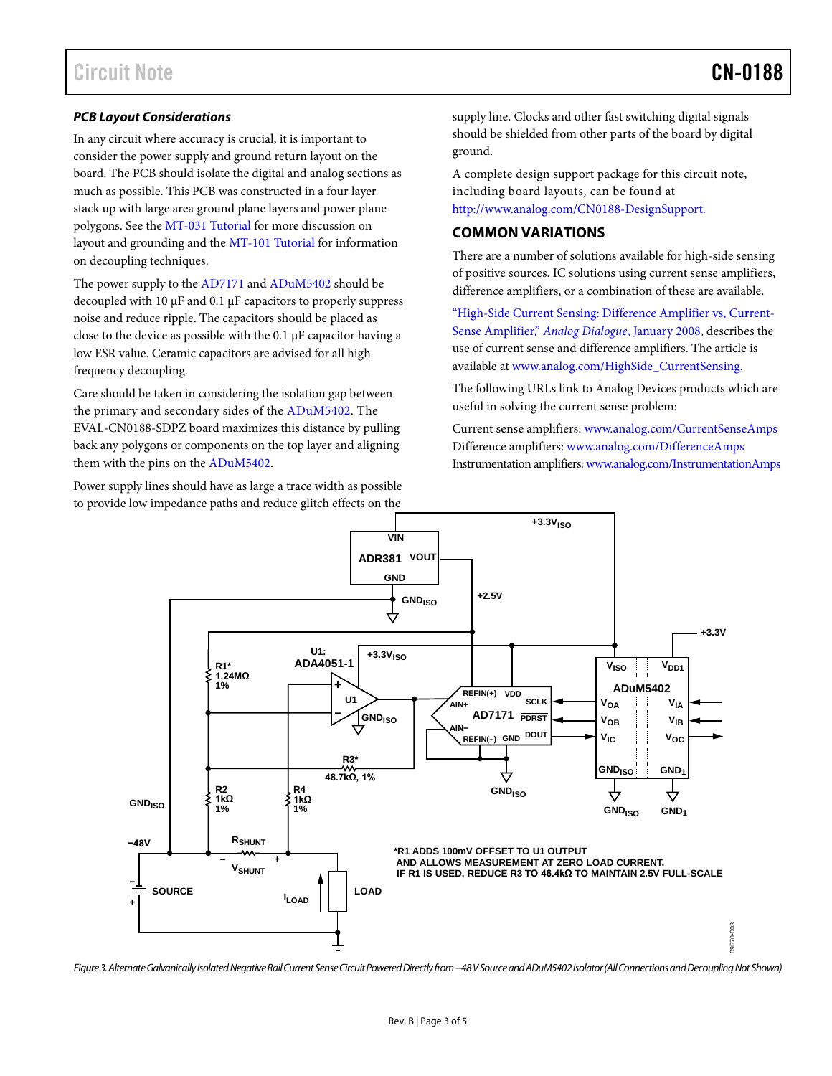#### *PCB Layout Considerations*

In any circuit where accuracy is crucial, it is important to consider the power supply and ground return layout on the board. The PCB should isolate the digital and analog sections as much as possible. This PCB was constructed in a four layer stack up with large area ground plane layers and power plane polygons. See th[e MT-031 Tutorial](http://www.analog.com/MT-031) for more discussion on layout and grounding and the [MT-101](http://www.analog.com/MT-101) Tutorial for information on decoupling techniques.

The power supply to the [AD7171](http://www.analog.com/AD7171) an[d ADuM5402](http://www.analog.com/ADuM5402) should be decoupled with 10 µF and 0.1 µF capacitors to properly suppress noise and reduce ripple. The capacitors should be placed as close to the device as possible with the 0.1 µF capacitor having a low ESR value. Ceramic capacitors are advised for all high frequency decoupling.

Care should be taken in considering the isolation gap between the primary and secondary sides of the [ADuM5402.](http://www.analog.com/ADuM5402) The EVAL-CN0188-SDPZ board maximizes this distance by pulling back any polygons or components on the top layer and aligning them with the pins on th[e ADuM5402.](http://www.analog.com/ADuM5402)

Power supply lines should have as large a trace width as possible to provide low impedance paths and reduce glitch effects on the

supply line. Clocks and other fast switching digital signals should be shielded from other parts of the board by digital ground.

A complete design support package for this circuit note, including board layouts, can be found at [http://www.analog.com/CN0188-DesignSupport.](http://www.analog.com/CN0188-DesignSupport)

### **COMMON VARIATIONS**

There are a number of solutions available for high-side sensing of positive sources. IC solutions using current sense amplifiers, difference amplifiers, or a combination of these are available.

["High-Side Current Sensing: Difference Amplifier vs, Current-](http://www.analog.com/HighSide_CurrentSensing)[Sense Amplifier,"](http://www.analog.com/HighSide_CurrentSensing) *[Analog Dialogue](http://www.analog.com/HighSide_CurrentSensing)*, January 2008, describes the use of current sense and difference amplifiers. The article is available at [www.analog.com/HighSide\\_CurrentSensing.](http://www.analog.com/HighSide_CurrentSensing) 

The following URLs link to Analog Devices products which are useful in solving the current sense problem:

Current sense amplifiers: [www.analog.com/CurrentSenseAmps](http://www.analog.com/CurrentSenseAmps) Difference amplifiers[: www.analog.com/DifferenceAmps](http://www.analog.com/DifferenceAmps) Instrumentation amplifiers[: www.analog.com/InstrumentationAmps](http://www.analog.com/InstrumentationAmps)



*Figure 3. AlternateGalvanically IsolatedNegative Rail Current Sense Circuit Powered Directly from −48V Source and ADuM5402 Isolator(All Connections and Decoupling Not Shown)*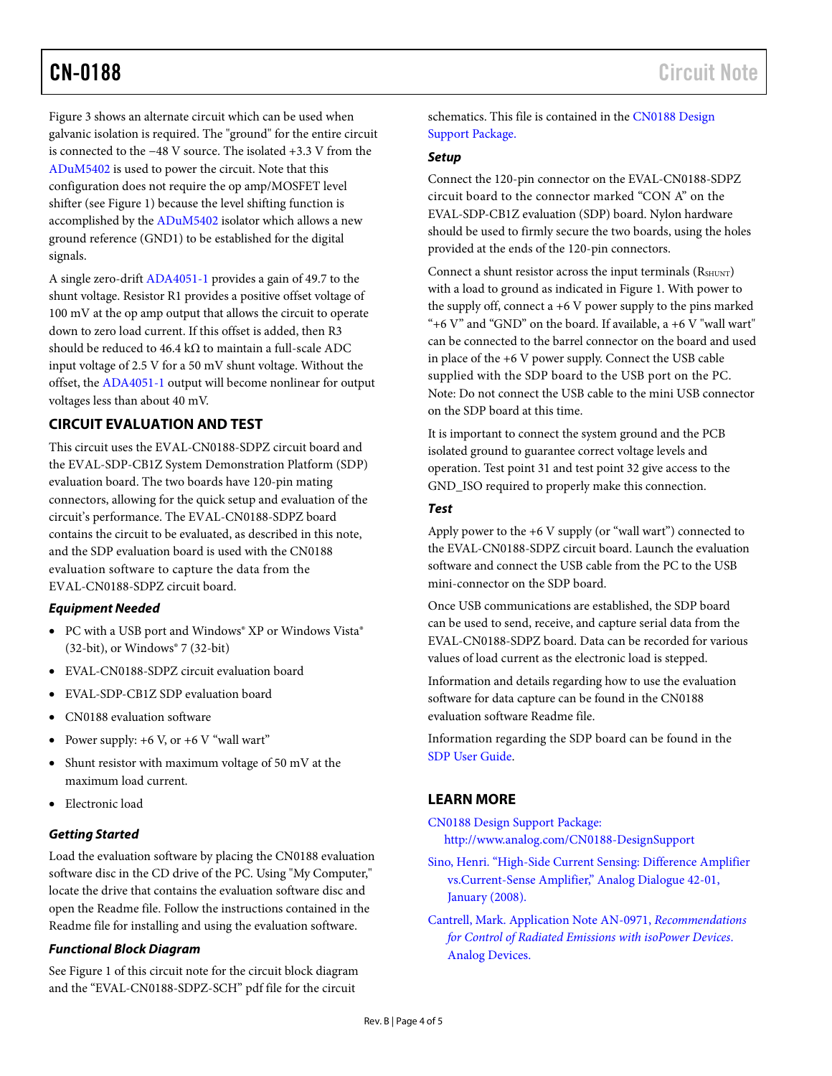Figure 3 shows an alternate circuit which can be used when galvanic isolation is required. The "ground" for the entire circuit is connected to the −48 V source. The isolated +3.3 V from the [ADuM5402](http://www.analog.com/ADuM5402) is used to power the circuit. Note that this configuration does not require the op amp/MOSFET level shifter (see Figure 1) because the level shifting function is accomplished by th[e ADuM5402](http://www.analog.com/ADuM5402) isolator which allows a new ground reference (GND1) to be established for the digital signals.

A single zero-drif[t ADA4051-1](http://www.analog.com/ADA4051-1) provides a gain of 49.7 to the shunt voltage. Resistor R1 provides a positive offset voltage of 100 mV at the op amp output that allows the circuit to operate down to zero load current. If this offset is added, then R3 should be reduced to 46.4 kΩ to maintain a full-scale ADC input voltage of 2.5 V for a 50 mV shunt voltage. Without the offset, th[e ADA4051-1](http://www.analog.com/ADA4051-1) output will become nonlinear for output voltages less than about 40 mV.

# **CIRCUIT EVALUATION AND TEST**

This circuit uses the EVAL-CN0188-SDPZ circuit board and the EVAL-SDP-CB1Z System Demonstration Platform (SDP) evaluation board. The two boards have 120-pin mating connectors, allowing for the quick setup and evaluation of the circuit's performance. The EVAL-CN0188-SDPZ board contains the circuit to be evaluated, as described in this note, and the SDP evaluation board is used with the CN0188 evaluation software to capture the data from the EVAL-CN0188-SDPZ circuit board.

## *Equipment Needed*

- PC with a USB port and Windows® XP or Windows Vista® (32-bit), or Windows® 7 (32-bit)
- EVAL-CN0188-SDPZ circuit evaluation board
- EVAL-SDP-CB1Z SDP evaluation board
- CN0188 evaluation software
- Power supply:  $+6$  V, or  $+6$  V "wall wart"
- Shunt resistor with maximum voltage of 50 mV at the maximum load current.
- Electronic load

#### *Getting Started*

Load the evaluation software by placing the CN0188 evaluation software disc in the CD drive of the PC. Using "My Computer," locate the drive that contains the evaluation software disc and open the Readme file. Follow the instructions contained in the Readme file for installing and using the evaluation software.

#### *Functional Block Diagram*

See Figure 1 of this circuit note for the circuit block diagram and the "EVAL-CN0188-SDPZ-SCH" pdf file for the circuit

schematics. This file is contained in the [CN0188](http://www.analog.com/CN0188-DesignSupport) Design [Support Package.](http://www.analog.com/CN0188-DesignSupport)

#### *Setup*

Connect the 120-pin connector on the EVAL-CN0188-SDPZ circuit board to the connector marked "CON A" on the EVAL-SDP-CB1Z evaluation (SDP) board. Nylon hardware should be used to firmly secure the two boards, using the holes provided at the ends of the 120-pin connectors.

Connect a shunt resistor across the input terminals (RSHUNT) with a load to ground as indicated in Figure 1. With power to the supply off, connect a +6 V power supply to the pins marked "+6 V" and "GND" on the board. If available, a  $+6$  V "wall wart" can be connected to the barrel connector on the board and used in place of the +6 V power supply. Connect the USB cable supplied with the SDP board to the USB port on the PC. Note: Do not connect the USB cable to the mini USB connector on the SDP board at this time.

It is important to connect the system ground and the PCB isolated ground to guarantee correct voltage levels and operation. Test point 31 and test point 32 give access to the GND\_ISO required to properly make this connection.

#### *Test*

Apply power to the  $+6$  V supply (or "wall wart") connected to the EVAL-CN0188-SDPZ circuit board. Launch the evaluation software and connect the USB cable from the PC to the USB mini-connector on the SDP board.

Once USB communications are established, the SDP board can be used to send, receive, and capture serial data from the EVAL-CN0188-SDPZ board. Data can be recorded for various values of load current as the electronic load is stepped.

Information and details regarding how to use the evaluation software for data capture can be found in the CN0188 evaluation software Readme file.

Information regarding the SDP board can be found in the [SDP User Guide.](http://www.analog.com/system_dev_platform)

# **LEARN MORE**

CN0188 [Design Support Package:](http://www.analog.com/CN0188-DesignSupport) <http://www.analog.com/CN0188-DesignSupport>

Sino, Henri. ["High-Side Current Sensing: Difference Amplifier](http://www.analog.com/HighSide_CurrentSensing)  [vs.Current-Sense Amplifier,"](http://www.analog.com/HighSide_CurrentSensing) Analog Dialogue 42-01, [January \(2008\).](http://www.analog.com/HighSide_CurrentSensing)

Cantrell, Mark. [Application Note AN-0971,](http://www.analog.com/an-0971) *Recommendations [for Control of Radiated Emissions with isoPower Devices](http://www.analog.com/an-0971)*. [Analog Devices.](http://www.analog.com/an-0971)